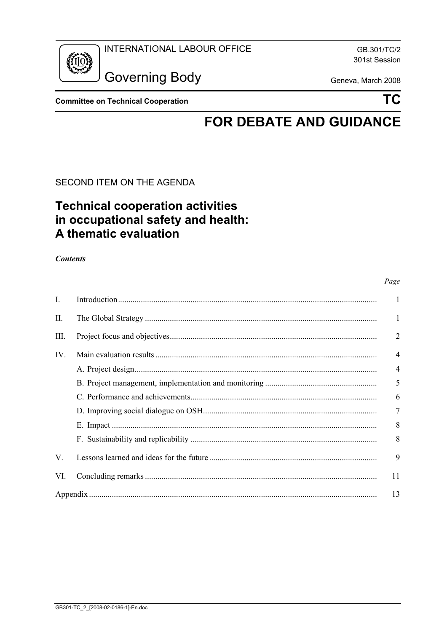

GB.301/TC/2 301st Session

**Governing Body** 

Geneva, March 2008

**Committee on Technical Cooperation** 

**TC** 

# **FOR DEBATE AND GUIDANCE**

SECOND ITEM ON THE AGENDA

## **Technical cooperation activities** in occupational safety and health: A thematic evaluation

**Contents** 

|     |  | Page           |
|-----|--|----------------|
| Ι.  |  | 1              |
| П.  |  | 1              |
| Ш.  |  | $\overline{2}$ |
| IV. |  | $\overline{4}$ |
|     |  | 4              |
|     |  | 5              |
|     |  | 6              |
|     |  | 7              |
|     |  | 8              |
|     |  | 8              |
| V.  |  | 9              |
| VI. |  | 11             |
|     |  | 13             |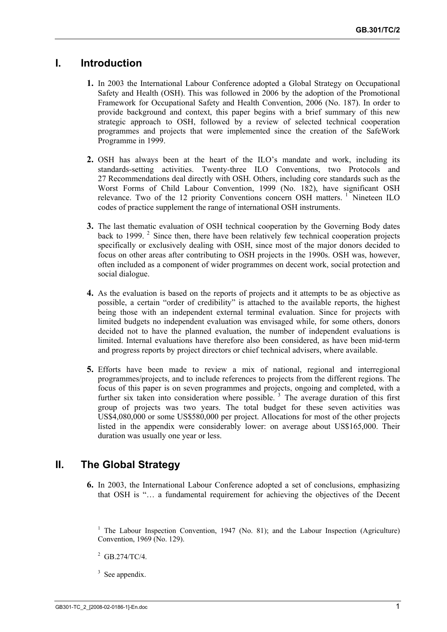## <span id="page-1-0"></span>**I. Introduction**

- **1.** In 2003 the International Labour Conference adopted a Global Strategy on Occupational Safety and Health (OSH). This was followed in 2006 by the adoption of the Promotional Framework for Occupational Safety and Health Convention, 2006 (No. 187). In order to provide background and context, this paper begins with a brief summary of this new strategic approach to OSH, followed by a review of selected technical cooperation programmes and projects that were implemented since the creation of the SafeWork Programme in 1999.
- **2.** OSH has always been at the heart of the ILO's mandate and work, including its standards-setting activities. Twenty-three ILO Conventions, two Protocols and 27 Recommendations deal directly with OSH. Others, including core standards such as the Worst Forms of Child Labour Convention, 1999 (No. 182), have significant OSH relevance. Two of the 12 priority Conventions concern OSH matters.<sup>1</sup> Nineteen ILO codes of practice supplement the range of international OSH instruments.
- **3.** The last thematic evaluation of OSH technical cooperation by the Governing Body dates back to 1999.<sup>2</sup> Since then, there have been relatively few technical cooperation projects specifically or exclusively dealing with OSH, since most of the major donors decided to focus on other areas after contributing to OSH projects in the 1990s. OSH was, however, often included as a component of wider programmes on decent work, social protection and social dialogue.
- **4.** As the evaluation is based on the reports of projects and it attempts to be as objective as possible, a certain "order of credibility" is attached to the available reports, the highest being those with an independent external terminal evaluation. Since for projects with limited budgets no independent evaluation was envisaged while, for some others, donors decided not to have the planned evaluation, the number of independent evaluations is limited. Internal evaluations have therefore also been considered, as have been mid-term and progress reports by project directors or chief technical advisers, where available.
- **5.** Efforts have been made to review a mix of national, regional and interregional programmes/projects, and to include references to projects from the different regions. The focus of this paper is on seven programmes and projects, ongoing and completed, with a further six taken into consideration where possible.<sup>3</sup> The average duration of this first group of projects was two years. The total budget for these seven activities was US\$4,080,000 or some US\$580,000 per project. Allocations for most of the other projects listed in the appendix were considerably lower: on average about US\$165,000. Their duration was usually one year or less.

## **II. The Global Strategy**

**6.** In 2003, the International Labour Conference adopted a set of conclusions, emphasizing that OSH is "… a fundamental requirement for achieving the objectives of the Decent

<sup>1</sup> The Labour Inspection Convention, 1947 (No. 81); and the Labour Inspection (Agriculture) Convention, 1969 (No. 129).

- $^{2}$  GB.274/TC/4.
- 3 See appendix.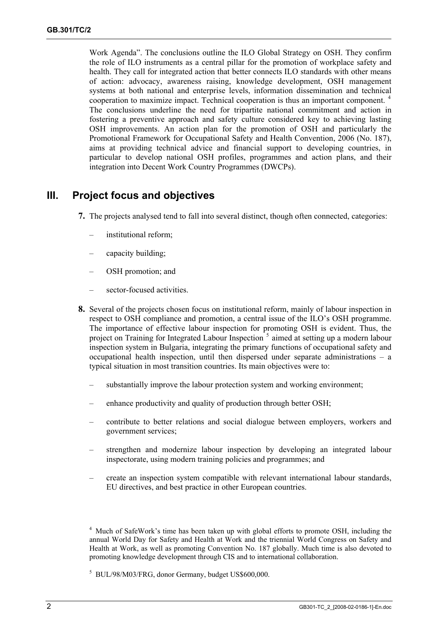<span id="page-2-0"></span>Work Agenda". The conclusions outline the ILO Global Strategy on OSH. They confirm the role of ILO instruments as a central pillar for the promotion of workplace safety and health. They call for integrated action that better connects ILO standards with other means of action: advocacy, awareness raising, knowledge development, OSH management systems at both national and enterprise levels, information dissemination and technical cooperation to maximize impact. Technical cooperation is thus an important component. <sup>4</sup> The conclusions underline the need for tripartite national commitment and action in fostering a preventive approach and safety culture considered key to achieving lasting OSH improvements. An action plan for the promotion of OSH and particularly the Promotional Framework for Occupational Safety and Health Convention, 2006 (No. 187), aims at providing technical advice and financial support to developing countries, in particular to develop national OSH profiles, programmes and action plans, and their integration into Decent Work Country Programmes (DWCPs).

## **III. Project focus and objectives**

- **7.** The projects analysed tend to fall into several distinct, though often connected, categories:
	- institutional reform;
	- capacity building;
	- OSH promotion; and
	- sector-focused activities.
- **8.** Several of the projects chosen focus on institutional reform, mainly of labour inspection in respect to OSH compliance and promotion, a central issue of the ILO's OSH programme. The importance of effective labour inspection for promoting OSH is evident. Thus, the project on Training for Integrated Labour Inspection<sup>5</sup> aimed at setting up a modern labour inspection system in Bulgaria, integrating the primary functions of occupational safety and occupational health inspection, until then dispersed under separate administrations – a typical situation in most transition countries. Its main objectives were to:
	- substantially improve the labour protection system and working environment;
	- enhance productivity and quality of production through better OSH;
	- contribute to better relations and social dialogue between employers, workers and government services;
	- strengthen and modernize labour inspection by developing an integrated labour inspectorate, using modern training policies and programmes; and
	- create an inspection system compatible with relevant international labour standards, EU directives, and best practice in other European countries.

<sup>&</sup>lt;sup>4</sup> Much of SafeWork's time has been taken up with global efforts to promote OSH, including the annual World Day for Safety and Health at Work and the triennial World Congress on Safety and Health at Work, as well as promoting Convention No. 187 globally. Much time is also devoted to promoting knowledge development through CIS and to international collaboration.

<sup>5</sup> BUL/98/M03/FRG, donor Germany, budget US\$600,000.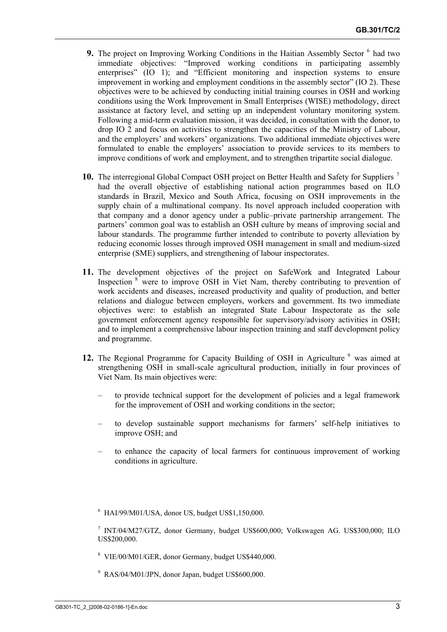- **9.** The project on Improving Working Conditions in the Haitian Assembly Sector <sup>6</sup> had two immediate objectives: "Improved working conditions in participating assembly enterprises" (IO 1); and "Efficient monitoring and inspection systems to ensure improvement in working and employment conditions in the assembly sector" (IO 2). These objectives were to be achieved by conducting initial training courses in OSH and working conditions using the Work Improvement in Small Enterprises (WISE) methodology, direct assistance at factory level, and setting up an independent voluntary monitoring system. Following a mid-term evaluation mission, it was decided, in consultation with the donor, to drop IO 2 and focus on activities to strengthen the capacities of the Ministry of Labour, and the employers' and workers' organizations. Two additional immediate objectives were formulated to enable the employers' association to provide services to its members to improve conditions of work and employment, and to strengthen tripartite social dialogue.
- **10.** The interregional Global Compact OSH project on Better Health and Safety for Suppliers <sup>7</sup> had the overall objective of establishing national action programmes based on ILO standards in Brazil, Mexico and South Africa, focusing on OSH improvements in the supply chain of a multinational company. Its novel approach included cooperation with that company and a donor agency under a public–private partnership arrangement. The partners' common goal was to establish an OSH culture by means of improving social and labour standards. The programme further intended to contribute to poverty alleviation by reducing economic losses through improved OSH management in small and medium-sized enterprise (SME) suppliers, and strengthening of labour inspectorates.
- **11.** The development objectives of the project on SafeWork and Integrated Labour Inspection <sup>8</sup> were to improve OSH in Viet Nam, thereby contributing to prevention of work accidents and diseases, increased productivity and quality of production, and better relations and dialogue between employers, workers and government. Its two immediate objectives were: to establish an integrated State Labour Inspectorate as the sole government enforcement agency responsible for supervisory/advisory activities in OSH; and to implement a comprehensive labour inspection training and staff development policy and programme.
- 12. The Regional Programme for Capacity Building of OSH in Agriculture<sup>9</sup> was aimed at strengthening OSH in small-scale agricultural production, initially in four provinces of Viet Nam. Its main objectives were:
	- to provide technical support for the development of policies and a legal framework for the improvement of OSH and working conditions in the sector;
	- to develop sustainable support mechanisms for farmers' self-help initiatives to improve OSH; and
	- to enhance the capacity of local farmers for continuous improvement of working conditions in agriculture.
	- $6$  HAI/99/M01/USA, donor US, budget US\$1,150,000.

- 8 VIE/00/M01/GER, donor Germany, budget US\$440,000.
- 9 RAS/04/M01/JPN, donor Japan, budget US\$600,000.

<sup>7</sup> INT/04/M27/GTZ, donor Germany, budget US\$600,000; Volkswagen AG. US\$300,000; ILO US\$200,000.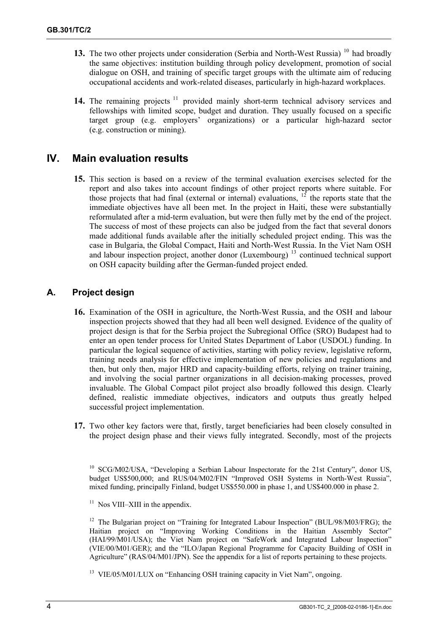- <span id="page-4-0"></span>**13.** The two other projects under consideration (Serbia and North-West Russia) <sup>10</sup> had broadly the same objectives: institution building through policy development, promotion of social dialogue on OSH, and training of specific target groups with the ultimate aim of reducing occupational accidents and work-related diseases, particularly in high-hazard workplaces.
- 14. The remaining projects <sup>11</sup> provided mainly short-term technical advisory services and fellowships with limited scope, budget and duration. They usually focused on a specific target group (e.g. employers' organizations) or a particular high-hazard sector (e.g. construction or mining).

### **IV. Main evaluation results**

**15.** This section is based on a review of the terminal evaluation exercises selected for the report and also takes into account findings of other project reports where suitable. For those projects that had final (external or internal) evaluations,  $12$  the reports state that the immediate objectives have all been met. In the project in Haiti, these were substantially reformulated after a mid-term evaluation, but were then fully met by the end of the project. The success of most of these projects can also be judged from the fact that several donors made additional funds available after the initially scheduled project ending. This was the case in Bulgaria, the Global Compact, Haiti and North-West Russia. In the Viet Nam OSH and labour inspection project, another donor (Luxembourg)<sup>13</sup> continued technical support on OSH capacity building after the German-funded project ended.

#### **A. Project design**

- **16.** Examination of the OSH in agriculture, the North-West Russia, and the OSH and labour inspection projects showed that they had all been well designed. Evidence of the quality of project design is that for the Serbia project the Subregional Office (SRO) Budapest had to enter an open tender process for United States Department of Labor (USDOL) funding. In particular the logical sequence of activities, starting with policy review, legislative reform, training needs analysis for effective implementation of new policies and regulations and then, but only then, major HRD and capacity-building efforts, relying on trainer training, and involving the social partner organizations in all decision-making processes, proved invaluable. The Global Compact pilot project also broadly followed this design. Clearly defined, realistic immediate objectives, indicators and outputs thus greatly helped successful project implementation.
- **17.** Two other key factors were that, firstly, target beneficiaries had been closely consulted in the project design phase and their views fully integrated. Secondly, most of the projects

<sup>10</sup> SCG/M02/USA, "Developing a Serbian Labour Inspectorate for the 21st Century", donor US, budget US\$500,000; and RUS/04/M02/FIN "Improved OSH Systems in North-West Russia", mixed funding, principally Finland, budget US\$550.000 in phase 1, and US\$400.000 in phase 2.

 $11$  Nos VIII–XIII in the appendix.

<sup>12</sup> The Bulgarian project on "Training for Integrated Labour Inspection" (BUL/98/M03/FRG); the Haitian project on "Improving Working Conditions in the Haitian Assembly Sector" (HAI/99/M01/USA); the Viet Nam project on "SafeWork and Integrated Labour Inspection" (VIE/00/M01/GER); and the "ILO/Japan Regional Programme for Capacity Building of OSH in Agriculture" (RAS/04/M01/JPN). See the appendix for a list of reports pertaining to these projects.

<sup>13</sup> VIE/05/M01/LUX on "Enhancing OSH training capacity in Viet Nam", ongoing.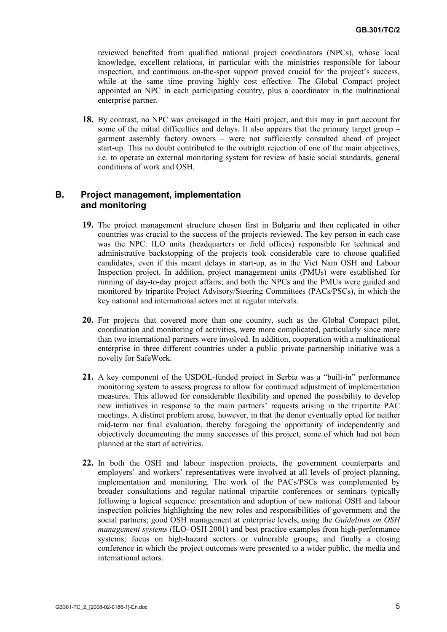<span id="page-5-0"></span>reviewed benefited from qualified national project coordinators (NPCs), whose local knowledge, excellent relations, in particular with the ministries responsible for labour inspection, and continuous on-the-spot support proved crucial for the project's success, while at the same time proving highly cost effective. The Global Compact project appointed an NPC in each participating country, plus a coordinator in the multinational enterprise partner.

**18.** By contrast, no NPC was envisaged in the Haiti project, and this may in part account for some of the initial difficulties and delays. It also appears that the primary target group – garment assembly factory owners – were not sufficiently consulted ahead of project start-up. This no doubt contributed to the outright rejection of one of the main objectives, i.e. to operate an external monitoring system for review of basic social standards, general conditions of work and OSH.

#### **B. Project management, implementation and monitoring**

- **19.** The project management structure chosen first in Bulgaria and then replicated in other countries was crucial to the success of the projects reviewed. The key person in each case was the NPC. ILO units (headquarters or field offices) responsible for technical and administrative backstopping of the projects took considerable care to choose qualified candidates, even if this meant delays in start-up, as in the Viet Nam OSH and Labour Inspection project. In addition, project management units (PMUs) were established for running of day-to-day project affairs; and both the NPCs and the PMUs were guided and monitored by tripartite Project Advisory/Steering Committees (PACs/PSCs), in which the key national and international actors met at regular intervals.
- **20.** For projects that covered more than one country, such as the Global Compact pilot, coordination and monitoring of activities, were more complicated, particularly since more than two international partners were involved. In addition, cooperation with a multinational enterprise in three different countries under a public–private partnership initiative was a novelty for SafeWork.
- **21.** A key component of the USDOL-funded project in Serbia was a "built-in" performance monitoring system to assess progress to allow for continued adjustment of implementation measures. This allowed for considerable flexibility and opened the possibility to develop new initiatives in response to the main partners' requests arising in the tripartite PAC meetings. A distinct problem arose, however, in that the donor eventually opted for neither mid-term nor final evaluation, thereby foregoing the opportunity of independently and objectively documenting the many successes of this project, some of which had not been planned at the start of activities.
- **22.** In both the OSH and labour inspection projects, the government counterparts and employers' and workers' representatives were involved at all levels of project planning, implementation and monitoring. The work of the PACs/PSCs was complemented by broader consultations and regular national tripartite conferences or seminars typically following a logical sequence: presentation and adoption of new national OSH and labour inspection policies highlighting the new roles and responsibilities of government and the social partners; good OSH management at enterprise levels, using the *Guidelines on OSH management systems* (ILO–OSH 2001) and best practice examples from high-performance systems; focus on high-hazard sectors or vulnerable groups; and finally a closing conference in which the project outcomes were presented to a wider public, the media and international actors.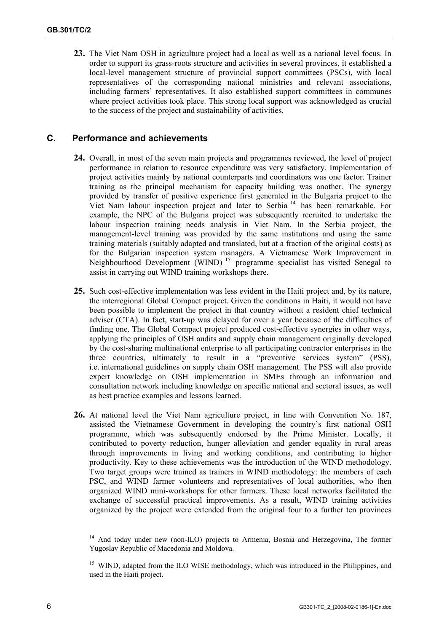<span id="page-6-0"></span>**23.** The Viet Nam OSH in agriculture project had a local as well as a national level focus. In order to support its grass-roots structure and activities in several provinces, it established a local-level management structure of provincial support committees (PSCs), with local representatives of the corresponding national ministries and relevant associations, including farmers' representatives. It also established support committees in communes where project activities took place. This strong local support was acknowledged as crucial to the success of the project and sustainability of activities.

#### **C. Performance and achievements**

- **24.** Overall, in most of the seven main projects and programmes reviewed, the level of project performance in relation to resource expenditure was very satisfactory. Implementation of project activities mainly by national counterparts and coordinators was one factor. Trainer training as the principal mechanism for capacity building was another. The synergy provided by transfer of positive experience first generated in the Bulgaria project to the Viet Nam labour inspection project and later to Serbia 14 has been remarkable. For example, the NPC of the Bulgaria project was subsequently recruited to undertake the labour inspection training needs analysis in Viet Nam. In the Serbia project, the management-level training was provided by the same institutions and using the same training materials (suitably adapted and translated, but at a fraction of the original costs) as for the Bulgarian inspection system managers. A Vietnamese Work Improvement in Neighbourhood Development (WIND)<sup>15</sup> programme specialist has visited Senegal to assist in carrying out WIND training workshops there.
- **25.** Such cost-effective implementation was less evident in the Haiti project and, by its nature, the interregional Global Compact project. Given the conditions in Haiti, it would not have been possible to implement the project in that country without a resident chief technical adviser (CTA). In fact, start-up was delayed for over a year because of the difficulties of finding one. The Global Compact project produced cost-effective synergies in other ways, applying the principles of OSH audits and supply chain management originally developed by the cost-sharing multinational enterprise to all participating contractor enterprises in the three countries, ultimately to result in a "preventive services system" (PSS), i.e. international guidelines on supply chain OSH management. The PSS will also provide expert knowledge on OSH implementation in SMEs through an information and consultation network including knowledge on specific national and sectoral issues, as well as best practice examples and lessons learned.
- **26.** At national level the Viet Nam agriculture project, in line with Convention No. 187, assisted the Vietnamese Government in developing the country's first national OSH programme, which was subsequently endorsed by the Prime Minister. Locally, it contributed to poverty reduction, hunger alleviation and gender equality in rural areas through improvements in living and working conditions, and contributing to higher productivity. Key to these achievements was the introduction of the WIND methodology. Two target groups were trained as trainers in WIND methodology: the members of each PSC, and WIND farmer volunteers and representatives of local authorities, who then organized WIND mini-workshops for other farmers. These local networks facilitated the exchange of successful practical improvements. As a result, WIND training activities organized by the project were extended from the original four to a further ten provinces

<sup>&</sup>lt;sup>14</sup> And today under new (non-ILO) projects to Armenia, Bosnia and Herzegovina, The former Yugoslav Republic of Macedonia and Moldova.

<sup>&</sup>lt;sup>15</sup> WIND, adapted from the ILO WISE methodology, which was introduced in the Philippines, and used in the Haiti project.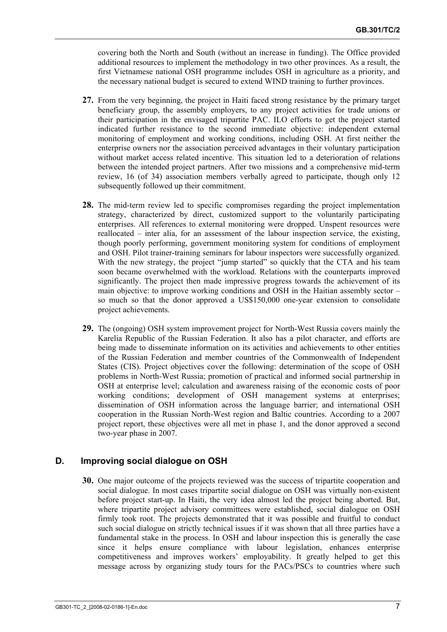<span id="page-7-0"></span>covering both the North and South (without an increase in funding). The Office provided additional resources to implement the methodology in two other provinces. As a result, the first Vietnamese national OSH programme includes OSH in agriculture as a priority, and the necessary national budget is secured to extend WIND training to further provinces.

- **27.** From the very beginning, the project in Haiti faced strong resistance by the primary target beneficiary group, the assembly employers, to any project activities for trade unions or their participation in the envisaged tripartite PAC. ILO efforts to get the project started indicated further resistance to the second immediate objective: independent external monitoring of employment and working conditions, including OSH. At first neither the enterprise owners nor the association perceived advantages in their voluntary participation without market access related incentive. This situation led to a deterioration of relations between the intended project partners. After two missions and a comprehensive mid-term review, 16 (of 34) association members verbally agreed to participate, though only 12 subsequently followed up their commitment.
- **28.** The mid-term review led to specific compromises regarding the project implementation strategy, characterized by direct, customized support to the voluntarily participating enterprises. All references to external monitoring were dropped. Unspent resources were reallocated – inter alia, for an assessment of the labour inspection service, the existing, though poorly performing, government monitoring system for conditions of employment and OSH. Pilot trainer-training seminars for labour inspectors were successfully organized. With the new strategy, the project "jump started" so quickly that the CTA and his team soon became overwhelmed with the workload. Relations with the counterparts improved significantly. The project then made impressive progress towards the achievement of its main objective: to improve working conditions and OSH in the Haitian assembly sector – so much so that the donor approved a US\$150,000 one-year extension to consolidate project achievements.
- **29.** The (ongoing) OSH system improvement project for North-West Russia covers mainly the Karelia Republic of the Russian Federation. It also has a pilot character, and efforts are being made to disseminate information on its activities and achievements to other entities of the Russian Federation and member countries of the Commonwealth of Independent States (CIS). Project objectives cover the following: determination of the scope of OSH problems in North-West Russia; promotion of practical and informed social partnership in OSH at enterprise level; calculation and awareness raising of the economic costs of poor working conditions; development of OSH management systems at enterprises; dissemination of OSH information across the language barrier; and international OSH cooperation in the Russian North-West region and Baltic countries. According to a 2007 project report, these objectives were all met in phase 1, and the donor approved a second two-year phase in 2007.

#### **D. Improving social dialogue on OSH**

**30.** One major outcome of the projects reviewed was the success of tripartite cooperation and social dialogue. In most cases tripartite social dialogue on OSH was virtually non-existent before project start-up. In Haiti, the very idea almost led the project being aborted. But, where tripartite project advisory committees were established, social dialogue on OSH firmly took root. The projects demonstrated that it was possible and fruitful to conduct such social dialogue on strictly technical issues if it was shown that all three parties have a fundamental stake in the process. In OSH and labour inspection this is generally the case since it helps ensure compliance with labour legislation, enhances enterprise competitiveness and improves workers' employability. It greatly helped to get this message across by organizing study tours for the PACs/PSCs to countries where such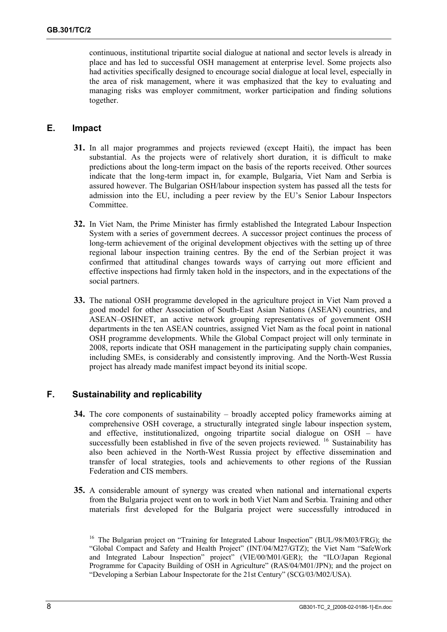<span id="page-8-0"></span>continuous, institutional tripartite social dialogue at national and sector levels is already in place and has led to successful OSH management at enterprise level. Some projects also had activities specifically designed to encourage social dialogue at local level, especially in the area of risk management, where it was emphasized that the key to evaluating and managing risks was employer commitment, worker participation and finding solutions together.

#### **E. Impact**

- **31.** In all major programmes and projects reviewed (except Haiti), the impact has been substantial. As the projects were of relatively short duration, it is difficult to make predictions about the long-term impact on the basis of the reports received. Other sources indicate that the long-term impact in, for example, Bulgaria, Viet Nam and Serbia is assured however. The Bulgarian OSH/labour inspection system has passed all the tests for admission into the EU, including a peer review by the EU's Senior Labour Inspectors Committee.
- **32.** In Viet Nam, the Prime Minister has firmly established the Integrated Labour Inspection System with a series of government decrees. A successor project continues the process of long-term achievement of the original development objectives with the setting up of three regional labour inspection training centres. By the end of the Serbian project it was confirmed that attitudinal changes towards ways of carrying out more efficient and effective inspections had firmly taken hold in the inspectors, and in the expectations of the social partners.
- **33.** The national OSH programme developed in the agriculture project in Viet Nam proved a good model for other Association of South-East Asian Nations (ASEAN) countries, and ASEAN–OSHNET, an active network grouping representatives of government OSH departments in the ten ASEAN countries, assigned Viet Nam as the focal point in national OSH programme developments. While the Global Compact project will only terminate in 2008, reports indicate that OSH management in the participating supply chain companies, including SMEs, is considerably and consistently improving. And the North-West Russia project has already made manifest impact beyond its initial scope.

#### **F. Sustainability and replicability**

- **34.** The core components of sustainability broadly accepted policy frameworks aiming at comprehensive OSH coverage, a structurally integrated single labour inspection system, and effective, institutionalized, ongoing tripartite social dialogue on OSH – have successfully been established in five of the seven projects reviewed. <sup>16</sup> Sustainability has also been achieved in the North-West Russia project by effective dissemination and transfer of local strategies, tools and achievements to other regions of the Russian Federation and CIS members.
- **35.** A considerable amount of synergy was created when national and international experts from the Bulgaria project went on to work in both Viet Nam and Serbia. Training and other materials first developed for the Bulgaria project were successfully introduced in

<sup>&</sup>lt;sup>16</sup> The Bulgarian project on "Training for Integrated Labour Inspection" (BUL/98/M03/FRG); the "Global Compact and Safety and Health Project" (INT/04/M27/GTZ); the Viet Nam "SafeWork and Integrated Labour Inspection" project" (VIE/00/M01/GER); the "ILO/Japan Regional Programme for Capacity Building of OSH in Agriculture" (RAS/04/M01/JPN); and the project on "Developing a Serbian Labour Inspectorate for the 21st Century" (SCG/03/M02/USA).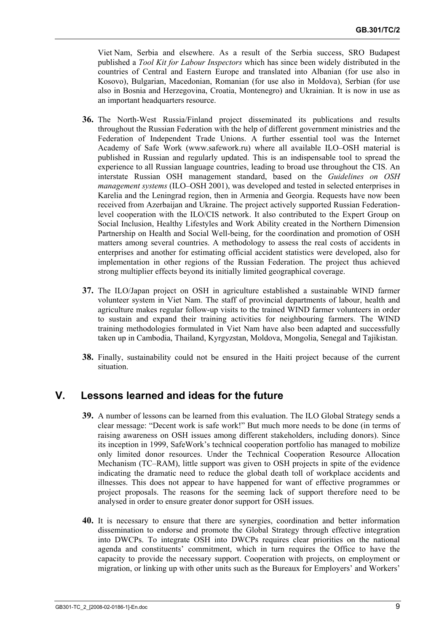<span id="page-9-0"></span>Viet Nam, Serbia and elsewhere. As a result of the Serbia success, SRO Budapest published a *Tool Kit for Labour Inspectors* which has since been widely distributed in the countries of Central and Eastern Europe and translated into Albanian (for use also in Kosovo), Bulgarian, Macedonian, Romanian (for use also in Moldova), Serbian (for use also in Bosnia and Herzegovina, Croatia, Montenegro) and Ukrainian. It is now in use as an important headquarters resource.

- **36.** The North-West Russia/Finland project disseminated its publications and results throughout the Russian Federation with the help of different government ministries and the Federation of Independent Trade Unions. A further essential tool was the Internet Academy of Safe Work (www.safework.ru) where all available ILO–OSH material is published in Russian and regularly updated. This is an indispensable tool to spread the experience to all Russian language countries, leading to broad use throughout the CIS. An interstate Russian OSH management standard, based on the *Guidelines on OSH management systems* (ILO–OSH 2001), was developed and tested in selected enterprises in Karelia and the Leningrad region, then in Armenia and Georgia. Requests have now been received from Azerbaijan and Ukraine. The project actively supported Russian Federationlevel cooperation with the ILO/CIS network. It also contributed to the Expert Group on Social Inclusion, Healthy Lifestyles and Work Ability created in the Northern Dimension Partnership on Health and Social Well-being, for the coordination and promotion of OSH matters among several countries. A methodology to assess the real costs of accidents in enterprises and another for estimating official accident statistics were developed, also for implementation in other regions of the Russian Federation. The project thus achieved strong multiplier effects beyond its initially limited geographical coverage.
- **37.** The ILO/Japan project on OSH in agriculture established a sustainable WIND farmer volunteer system in Viet Nam. The staff of provincial departments of labour, health and agriculture makes regular follow-up visits to the trained WIND farmer volunteers in order to sustain and expand their training activities for neighbouring farmers. The WIND training methodologies formulated in Viet Nam have also been adapted and successfully taken up in Cambodia, Thailand, Kyrgyzstan, Moldova, Mongolia, Senegal and Tajikistan.
- **38.** Finally, sustainability could not be ensured in the Haiti project because of the current situation.

## **V. Lessons learned and ideas for the future**

- **39.** A number of lessons can be learned from this evaluation. The ILO Global Strategy sends a clear message: "Decent work is safe work!" But much more needs to be done (in terms of raising awareness on OSH issues among different stakeholders, including donors). Since its inception in 1999, SafeWork's technical cooperation portfolio has managed to mobilize only limited donor resources. Under the Technical Cooperation Resource Allocation Mechanism (TC–RAM), little support was given to OSH projects in spite of the evidence indicating the dramatic need to reduce the global death toll of workplace accidents and illnesses. This does not appear to have happened for want of effective programmes or project proposals. The reasons for the seeming lack of support therefore need to be analysed in order to ensure greater donor support for OSH issues.
- **40.** It is necessary to ensure that there are synergies, coordination and better information dissemination to endorse and promote the Global Strategy through effective integration into DWCPs. To integrate OSH into DWCPs requires clear priorities on the national agenda and constituents' commitment, which in turn requires the Office to have the capacity to provide the necessary support. Cooperation with projects, on employment or migration, or linking up with other units such as the Bureaux for Employers' and Workers'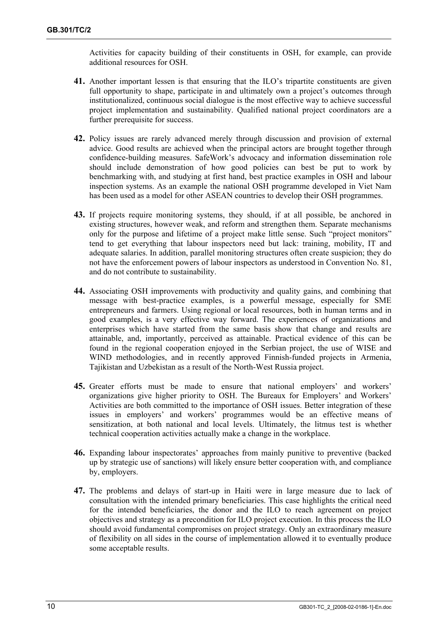Activities for capacity building of their constituents in OSH, for example, can provide additional resources for OSH.

- **41.** Another important lessen is that ensuring that the ILO's tripartite constituents are given full opportunity to shape, participate in and ultimately own a project's outcomes through institutionalized, continuous social dialogue is the most effective way to achieve successful project implementation and sustainability. Qualified national project coordinators are a further prerequisite for success.
- **42.** Policy issues are rarely advanced merely through discussion and provision of external advice. Good results are achieved when the principal actors are brought together through confidence-building measures. SafeWork's advocacy and information dissemination role should include demonstration of how good policies can best be put to work by benchmarking with, and studying at first hand, best practice examples in OSH and labour inspection systems. As an example the national OSH programme developed in Viet Nam has been used as a model for other ASEAN countries to develop their OSH programmes.
- **43.** If projects require monitoring systems, they should, if at all possible, be anchored in existing structures, however weak, and reform and strengthen them. Separate mechanisms only for the purpose and lifetime of a project make little sense. Such "project monitors" tend to get everything that labour inspectors need but lack: training, mobility, IT and adequate salaries. In addition, parallel monitoring structures often create suspicion; they do not have the enforcement powers of labour inspectors as understood in Convention No. 81, and do not contribute to sustainability.
- **44.** Associating OSH improvements with productivity and quality gains, and combining that message with best-practice examples, is a powerful message, especially for SME entrepreneurs and farmers. Using regional or local resources, both in human terms and in good examples, is a very effective way forward. The experiences of organizations and enterprises which have started from the same basis show that change and results are attainable, and, importantly, perceived as attainable. Practical evidence of this can be found in the regional cooperation enjoyed in the Serbian project, the use of WISE and WIND methodologies, and in recently approved Finnish-funded projects in Armenia, Tajikistan and Uzbekistan as a result of the North-West Russia project.
- **45.** Greater efforts must be made to ensure that national employers' and workers' organizations give higher priority to OSH. The Bureaux for Employers' and Workers' Activities are both committed to the importance of OSH issues. Better integration of these issues in employers' and workers' programmes would be an effective means of sensitization, at both national and local levels. Ultimately, the litmus test is whether technical cooperation activities actually make a change in the workplace.
- **46.** Expanding labour inspectorates' approaches from mainly punitive to preventive (backed up by strategic use of sanctions) will likely ensure better cooperation with, and compliance by, employers.
- **47.** The problems and delays of start-up in Haiti were in large measure due to lack of consultation with the intended primary beneficiaries. This case highlights the critical need for the intended beneficiaries, the donor and the ILO to reach agreement on project objectives and strategy as a precondition for ILO project execution. In this process the ILO should avoid fundamental compromises on project strategy. Only an extraordinary measure of flexibility on all sides in the course of implementation allowed it to eventually produce some acceptable results.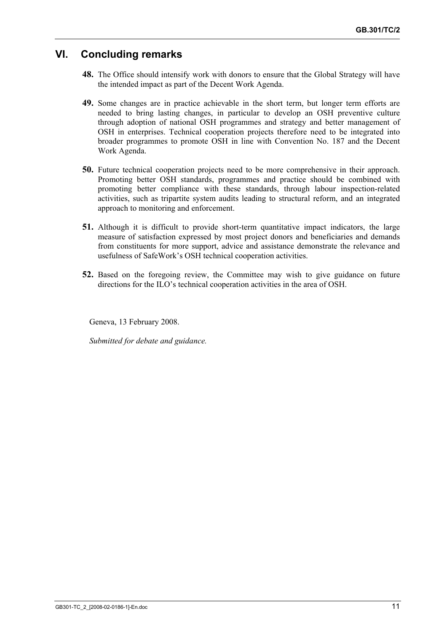## <span id="page-11-0"></span>**VI. Concluding remarks**

- **48.** The Office should intensify work with donors to ensure that the Global Strategy will have the intended impact as part of the Decent Work Agenda.
- **49.** Some changes are in practice achievable in the short term, but longer term efforts are needed to bring lasting changes, in particular to develop an OSH preventive culture through adoption of national OSH programmes and strategy and better management of OSH in enterprises. Technical cooperation projects therefore need to be integrated into broader programmes to promote OSH in line with Convention No. 187 and the Decent Work Agenda.
- **50.** Future technical cooperation projects need to be more comprehensive in their approach. Promoting better OSH standards, programmes and practice should be combined with promoting better compliance with these standards, through labour inspection-related activities, such as tripartite system audits leading to structural reform, and an integrated approach to monitoring and enforcement.
- **51.** Although it is difficult to provide short-term quantitative impact indicators, the large measure of satisfaction expressed by most project donors and beneficiaries and demands from constituents for more support, advice and assistance demonstrate the relevance and usefulness of SafeWork's OSH technical cooperation activities.
- **52.** Based on the foregoing review, the Committee may wish to give guidance on future directions for the ILO's technical cooperation activities in the area of OSH.

Geneva, 13 February 2008.

*Submitted for debate and guidance.*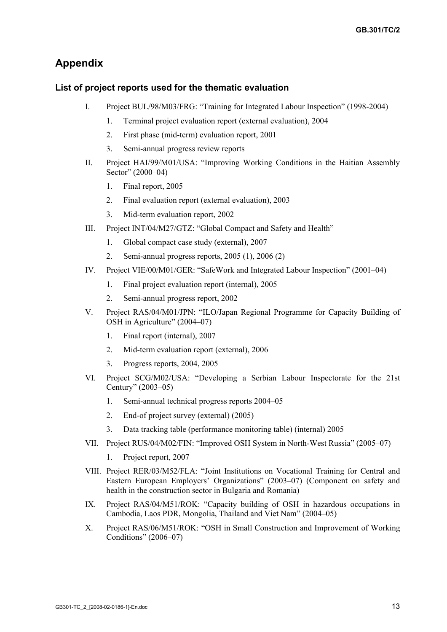## **Appendix**

#### **List of project reports used for the thematic evaluation**

- I. Project BUL/98/M03/FRG: "Training for Integrated Labour Inspection" (1998-2004)
	- 1. Terminal project evaluation report (external evaluation), 2004
	- 2. First phase (mid-term) evaluation report, 2001
	- 3. Semi-annual progress review reports
- II. Project HAI/99/M01/USA: "Improving Working Conditions in the Haitian Assembly Sector" (2000–04)
	- 1. Final report, 2005
	- 2. Final evaluation report (external evaluation), 2003
	- 3. Mid-term evaluation report, 2002
- III. Project INT/04/M27/GTZ: "Global Compact and Safety and Health"
	- 1. Global compact case study (external), 2007
	- 2. Semi-annual progress reports, 2005 (1), 2006 (2)
- IV. Project VIE/00/M01/GER: "SafeWork and Integrated Labour Inspection" (2001–04)
	- 1. Final project evaluation report (internal), 2005
	- 2. Semi-annual progress report, 2002
- V. Project RAS/04/M01/JPN: "ILO/Japan Regional Programme for Capacity Building of OSH in Agriculture" (2004–07)
	- 1. Final report (internal), 2007
	- 2. Mid-term evaluation report (external), 2006
	- 3. Progress reports, 2004, 2005
- VI. Project SCG/M02/USA: "Developing a Serbian Labour Inspectorate for the 21st Century" (2003–05)
	- 1. Semi-annual technical progress reports 2004–05
	- 2. End-of project survey (external) (2005)
	- 3. Data tracking table (performance monitoring table) (internal) 2005
- VII. Project RUS/04/M02/FIN: "Improved OSH System in North-West Russia" (2005–07)
	- 1. Project report, 2007
- VIII. Project RER/03/M52/FLA: "Joint Institutions on Vocational Training for Central and Eastern European Employers' Organizations" (2003–07) (Component on safety and health in the construction sector in Bulgaria and Romania)
- IX. Project RAS/04/M51/ROK: "Capacity building of OSH in hazardous occupations in Cambodia, Laos PDR, Mongolia, Thailand and Viet Nam" (2004–05)
- X. Project RAS/06/M51/ROK: "OSH in Small Construction and Improvement of Working Conditions" (2006–07)